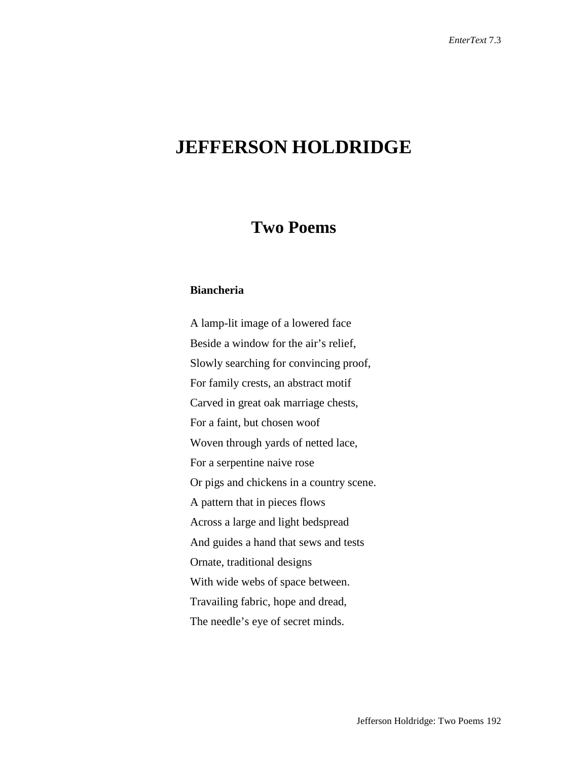## **JEFFERSON HOLDRIDGE**

## **Two Poems**

## **Biancheria**

A lamp-lit image of a lowered face Beside a window for the air's relief, Slowly searching for convincing proof, For family crests, an abstract motif Carved in great oak marriage chests, For a faint, but chosen woof Woven through yards of netted lace, For a serpentine naive rose Or pigs and chickens in a country scene. A pattern that in pieces flows Across a large and light bedspread And guides a hand that sews and tests Ornate, traditional designs With wide webs of space between. Travailing fabric, hope and dread, The needle's eye of secret minds.